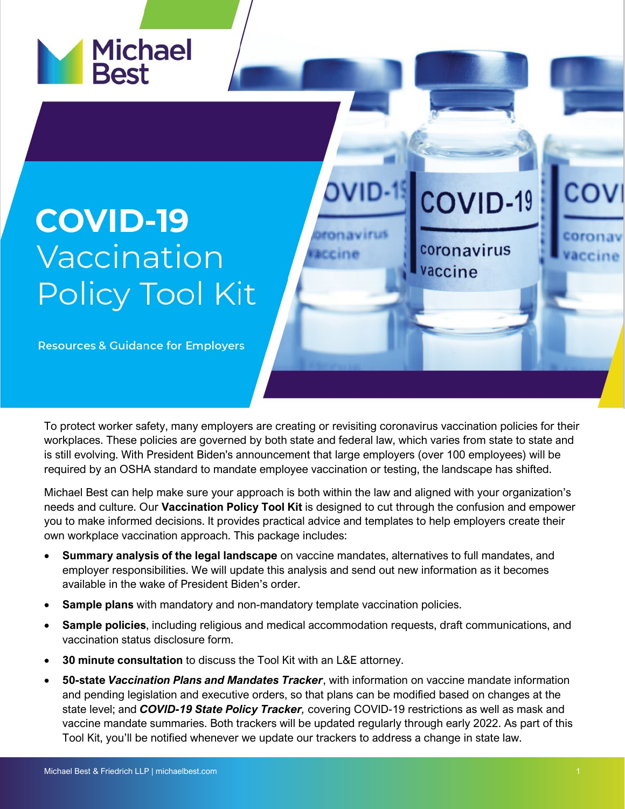

## **COVID-19** Vaccination **Policy Tool Kit**

**Resources & Guidance for Employers** 

To protect worker safety, many employers are creating or revisiting coronavirus vaccination policies for their workplaces. These policies are governed by both state and federal law, which varies from state to state and is still evolving. With President Biden's announcement that large employers (over 100 employees) will be required by an OSHA standard to mandate employee vaccination or testing, the landscape has shifted.

**OVID-**

**Ironavirus** 

accine

COVID-19

coronavirus

vaccine

Michael Best can help make sure your approach is both within the law and aligned with your organization's needs and culture. Our **Vaccination Policy Tool Kit** is designed to cut through the confusion and empower you to make informed decisions. It provides practical advice and templates to help employers create their own workplace vaccination approach. This package includes:

- **Summary analysis of the legal landscape** on vaccine mandates, alternatives to full mandates, and employer responsibilities. We will update this analysis and send out new information as it becomes available in the wake of President Biden's order.
- **Sample plans** with mandatory and non-mandatory template vaccination policies.
- **Sample policies**, including religious and medical accommodation requests, draft communications, and vaccination status disclosure form.
- **30 minute consultation** to discuss the Tool Kit with an L&E attorney.
- **50-state** *Vaccination Plans and Mandates Tracker*, with information on vaccine mandate information and pending legislation and executive orders, so that plans can be modified based on changes at the state level; and *COVID-19 State Policy Tracker,* covering COVID-19 restrictions as well as mask and vaccine mandate summaries. Both trackers will be updated regularly through early 2022. As part of this Tool Kit, you'll be notified whenever we update our trackers to address a change in state law.